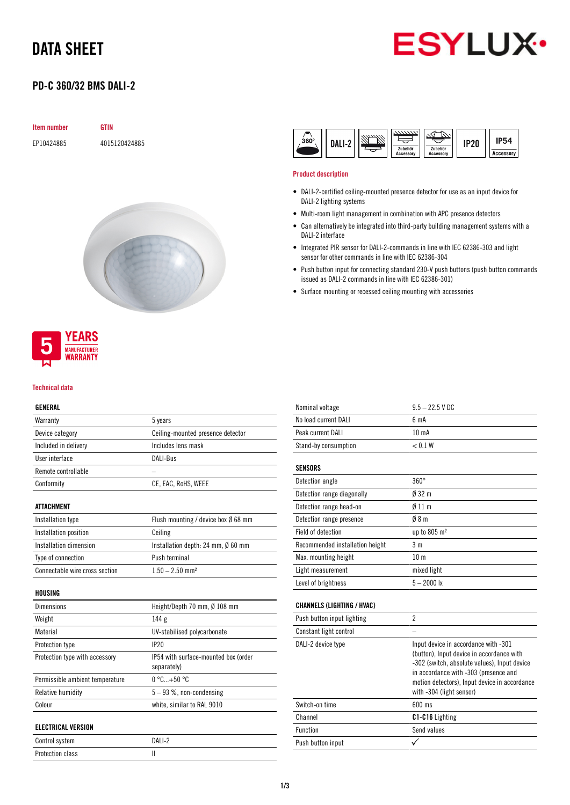# DATA SHEET



# PD-C 360/32 BMS DALI-2

| Item number | GTIN          |
|-------------|---------------|
| EP10424885  | 4015120424885 |





#### Technical data

## GENERAL

| Warranty             | 5 years                           |
|----------------------|-----------------------------------|
| Device category      | Ceiling-mounted presence detector |
| Included in delivery | Includes lens mask                |
| User interface       | DALI-Bus                          |
| Remote controllable  |                                   |
| Conformity           | CE, EAC, RoHS, WEEE               |
|                      |                                   |

## ATTACHMENT

| Installation type              | Flush mounting / device box $\emptyset$ 68 mm |
|--------------------------------|-----------------------------------------------|
| Installation position          | Ceiling                                       |
| Installation dimension         | Installation depth: 24 mm, Ø 60 mm            |
| Type of connection             | Push terminal                                 |
| Connectable wire cross section | $1.50 - 2.50$ mm <sup>2</sup>                 |

## HOUSING

| <b>Dimensions</b>               | Height/Depth 70 mm, Ø 108 mm                        |
|---------------------------------|-----------------------------------------------------|
| Weight                          | 144g                                                |
| Material                        | UV-stabilised polycarbonate                         |
| Protection type                 | IP20                                                |
| Protection type with accessory  | IP54 with surface-mounted box (order<br>separately) |
| Permissible ambient temperature | $0^{\circ}$ C+50 $^{\circ}$ C                       |
| Relative humidity               | $5 - 93$ %, non-condensing                          |
| Colour                          | white, similar to RAL 9010                          |
| <b>ELECTRICAL VERSION</b>       |                                                     |
| Control system                  | DAI 1-2                                             |

Protection class II

| $360^\circ$<br>١AI<br>ь. | Zubehör<br>Zubehör<br>Accessory<br><b>Accessory</b> | IP20 | <b>IP54</b><br><b>Accessory</b> |
|--------------------------|-----------------------------------------------------|------|---------------------------------|
|--------------------------|-----------------------------------------------------|------|---------------------------------|

### Product description

- DALI-2-certified ceiling-mounted presence detector for use as an input device for DALI-2 lighting systems
- Multi-room light management in combination with APC presence detectors
- Can alternatively be integrated into third-party building management systems with a DALI-2 interface
- Integrated PIR sensor for DALI-2-commands in line with IEC 62386-303 and light sensor for other commands in line with IEC 62386-304
- Push button input for connecting standard 230-V push buttons (push button commands issued as DALI-2 commands in line with IEC 62386-301)
- Surface mounting or recessed ceiling mounting with accessories

| Nominal voltage                   | $9.5 - 22.5$ V DC                                                                                                                                                                                                                                       |
|-----------------------------------|---------------------------------------------------------------------------------------------------------------------------------------------------------------------------------------------------------------------------------------------------------|
| No load current DALL              | 6 <sub>m</sub> A                                                                                                                                                                                                                                        |
| Peak current DALI                 | 10 <sub>m</sub> A                                                                                                                                                                                                                                       |
| Stand-by consumption              | < 0.1 W                                                                                                                                                                                                                                                 |
| <b>SENSORS</b>                    |                                                                                                                                                                                                                                                         |
| Detection angle                   | $360^\circ$                                                                                                                                                                                                                                             |
| Detection range diagonally        | $032 \text{ m}$                                                                                                                                                                                                                                         |
| Detection range head-on           | $\emptyset$ 11 m                                                                                                                                                                                                                                        |
| Detection range presence          | 08 <sub>m</sub>                                                                                                                                                                                                                                         |
| Field of detection                | up to 805 m <sup>2</sup>                                                                                                                                                                                                                                |
| Recommended installation height   | 3 <sub>m</sub>                                                                                                                                                                                                                                          |
| Max. mounting height              | 10 <sub>m</sub>                                                                                                                                                                                                                                         |
| Light measurement                 | mixed light                                                                                                                                                                                                                                             |
| Level of brightness               | $5 - 2000$ lx                                                                                                                                                                                                                                           |
| <b>CHANNELS (LIGHTING / HVAC)</b> |                                                                                                                                                                                                                                                         |
| Push button input lighting        | $\overline{2}$                                                                                                                                                                                                                                          |
| Constant light control            |                                                                                                                                                                                                                                                         |
| DALI-2 device type                | Input device in accordance with -301<br>(button), Input device in accordance with<br>-302 (switch, absolute values), Input device<br>in accordance with -303 (presence and<br>motion detectors), Input device in accordance<br>with -304 (light sensor) |
| Switch-on time                    | 600 ms                                                                                                                                                                                                                                                  |
| Channel                           | <b>C1-C16</b> Lighting                                                                                                                                                                                                                                  |

Function Send values Push button input  $\checkmark$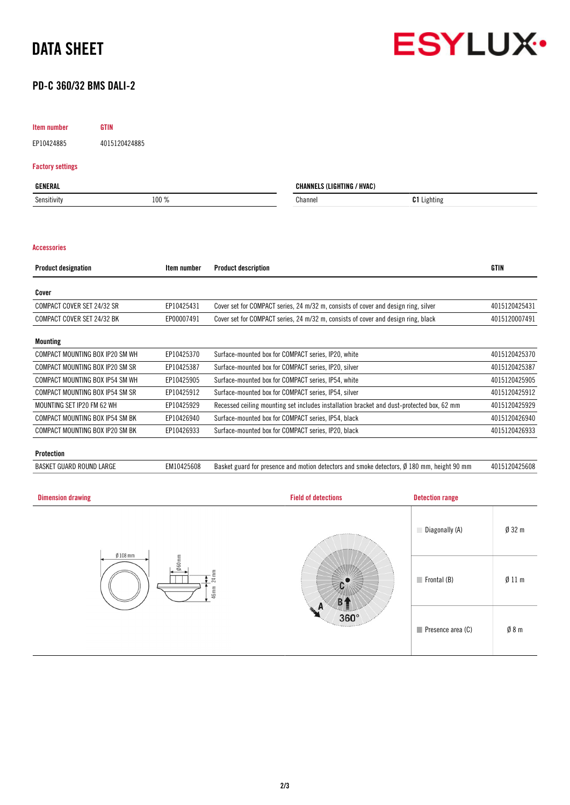



## PD-C 360/32 BMS DALI-2

## Item number GTIN

EP10424885 4015120424885

## Factory settings

| GENERAL     |       | / HVAC)<br><b>CHANNELS (LIGHTING /</b> |                    |
|-------------|-------|----------------------------------------|--------------------|
| Sensitivity | 100 % | Channel<br>.                           | <b>C1</b> Lighting |
|             |       |                                        |                    |

## Accessories

| <b>Product designation</b>      | Item number | <b>Product description</b>                                                                | GTIN          |
|---------------------------------|-------------|-------------------------------------------------------------------------------------------|---------------|
| Cover                           |             |                                                                                           |               |
| COMPACT COVER SET 24/32 SR      | EP10425431  | Cover set for COMPACT series, 24 m/32 m, consists of cover and design ring, silver        | 4015120425431 |
| COMPACT COVER SET 24/32 BK      | EP00007491  | Cover set for COMPACT series, 24 m/32 m, consists of cover and design ring, black         | 4015120007491 |
| Mounting                        |             |                                                                                           |               |
| COMPACT MOUNTING BOX IP20 SM WH | EP10425370  | Surface-mounted box for COMPACT series, IP20, white                                       | 4015120425370 |
| COMPACT MOUNTING BOX IP20 SM SR | EP10425387  | Surface-mounted box for COMPACT series, IP20, silver                                      | 4015120425387 |
| COMPACT MOUNTING BOX IP54 SM WH | EP10425905  | Surface-mounted box for COMPACT series, IP54, white                                       | 4015120425905 |
| COMPACT MOUNTING BOX IP54 SM SR | EP10425912  | Surface-mounted box for COMPACT series, IP54, silver                                      | 4015120425912 |
| MOUNTING SET IP20 FM 62 WH      | EP10425929  | Recessed ceiling mounting set includes installation bracket and dust-protected box, 62 mm | 4015120425929 |
| COMPACT MOUNTING BOX IP54 SM BK | EP10426940  | Surface-mounted box for COMPACT series, IP54, black                                       | 4015120426940 |
| COMPACT MOUNTING BOX IP20 SM BK | EP10426933  | Surface-mounted box for COMPACT series, IP20, black                                       | 4015120426933 |

### Protection

BASKET GUARD ROUND LARGE EM10425608 Basket guard for presence and motion detectors and smoke detectors, Ø 180 mm, height 90 mm 4015120425608

| <b>Dimension drawing</b>                                              | <b>Field of detections</b> | <b>Detection range</b>           |                 |
|-----------------------------------------------------------------------|----------------------------|----------------------------------|-----------------|
| $Ø108$ mm<br>$\emptyset$ 60mm<br>$\mathop{\mathbb{E}}$<br>24<br>46 mm | ------<br>в<br>$360^\circ$ | Diagonally (A)                   | $Ø$ 32 m        |
|                                                                       |                            | $\blacksquare$ Frontal (B)       | Ø11 m           |
|                                                                       |                            | $\blacksquare$ Presence area (C) | $\emptyset$ 8 m |